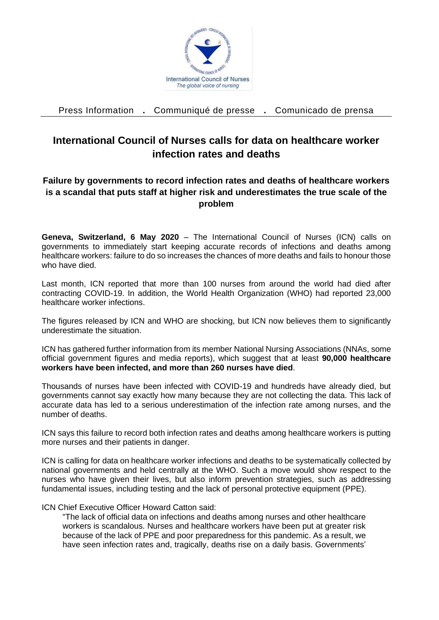

Press Information **.** Communiqué de presse **.** Comunicado de prensa

## **International Council of Nurses calls for data on healthcare worker infection rates and deaths**

## **Failure by governments to record infection rates and deaths of healthcare workers is a scandal that puts staff at higher risk and underestimates the true scale of the problem**

**Geneva, Switzerland, 6 May 2020** – The International Council of Nurses (ICN) calls on governments to immediately start keeping accurate records of infections and deaths among healthcare workers: failure to do so increases the chances of more deaths and fails to honour those who have died.

Last month, ICN reported that more than 100 nurses from around the world had died after contracting COVID-19. In addition, the World Health Organization (WHO) had reported 23,000 healthcare worker infections.

The figures released by ICN and WHO are shocking, but ICN now believes them to significantly underestimate the situation.

ICN has gathered further information from its member National Nursing Associations (NNAs, some official government figures and media reports), which suggest that at least **90,000 healthcare workers have been infected, and more than 260 nurses have died**.

Thousands of nurses have been infected with COVID-19 and hundreds have already died, but governments cannot say exactly how many because they are not collecting the data. This lack of accurate data has led to a serious underestimation of the infection rate among nurses, and the number of deaths.

ICN says this failure to record both infection rates and deaths among healthcare workers is putting more nurses and their patients in danger.

ICN is calling for data on healthcare worker infections and deaths to be systematically collected by national governments and held centrally at the WHO. Such a move would show respect to the nurses who have given their lives, but also inform prevention strategies, such as addressing fundamental issues, including testing and the lack of personal protective equipment (PPE).

## ICN Chief Executive Officer Howard Catton said:

"The lack of official data on infections and deaths among nurses and other healthcare workers is scandalous. Nurses and healthcare workers have been put at greater risk because of the lack of PPE and poor preparedness for this pandemic. As a result, we have seen infection rates and, tragically, deaths rise on a daily basis. Governments'